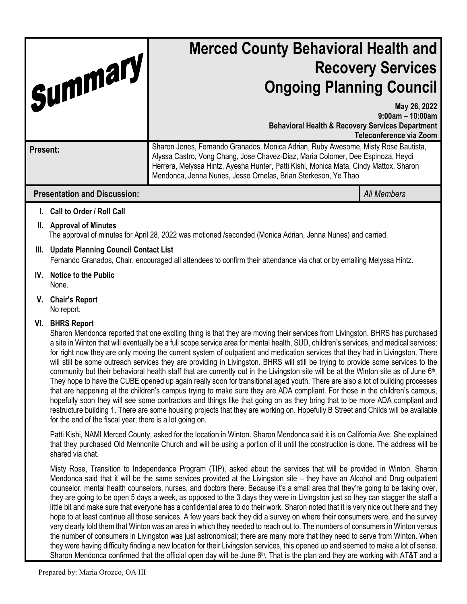| Summary         |                                                                                                                                                                                                                                                                                                                                                                                                                                                                                                                                                                                                                                                                                                                                                                                                                                                                                                                                                                                                                                                                                                                                                                                                                                                                                                        | <b>Merced County Behavioral Health and</b><br><b>Recovery Services</b><br><b>Ongoing Planning Council</b><br>May 26, 2022<br>$9:00am - 10:00am$<br><b>Behavioral Health &amp; Recovery Services Department</b><br>Teleconference via Zoom                                                                                                                                                                                                                                                                                                                                                                                                                                                                                                                                                                                                                                                                                                                                                                                                                                                                                                                                                                   |                    |  |
|-----------------|--------------------------------------------------------------------------------------------------------------------------------------------------------------------------------------------------------------------------------------------------------------------------------------------------------------------------------------------------------------------------------------------------------------------------------------------------------------------------------------------------------------------------------------------------------------------------------------------------------------------------------------------------------------------------------------------------------------------------------------------------------------------------------------------------------------------------------------------------------------------------------------------------------------------------------------------------------------------------------------------------------------------------------------------------------------------------------------------------------------------------------------------------------------------------------------------------------------------------------------------------------------------------------------------------------|-------------------------------------------------------------------------------------------------------------------------------------------------------------------------------------------------------------------------------------------------------------------------------------------------------------------------------------------------------------------------------------------------------------------------------------------------------------------------------------------------------------------------------------------------------------------------------------------------------------------------------------------------------------------------------------------------------------------------------------------------------------------------------------------------------------------------------------------------------------------------------------------------------------------------------------------------------------------------------------------------------------------------------------------------------------------------------------------------------------------------------------------------------------------------------------------------------------|--------------------|--|
| <b>Present:</b> |                                                                                                                                                                                                                                                                                                                                                                                                                                                                                                                                                                                                                                                                                                                                                                                                                                                                                                                                                                                                                                                                                                                                                                                                                                                                                                        | Sharon Jones, Fernando Granados, Monica Adrian, Ruby Awesome, Misty Rose Bautista,<br>Alyssa Castro, Vong Chang, Jose Chavez-Diaz, Maria Colomer, Dee Espinoza, Heydi<br>Herrera, Melyssa Hintz, Ayesha Hunter, Patti Kishi, Monica Mata, Cindy Mattox, Sharon<br>Mendonca, Jenna Nunes, Jesse Ornelas, Brian Sterkeson, Ye Thao                                                                                                                                                                                                                                                                                                                                                                                                                                                                                                                                                                                                                                                                                                                                                                                                                                                                            |                    |  |
|                 | <b>Presentation and Discussion:</b>                                                                                                                                                                                                                                                                                                                                                                                                                                                                                                                                                                                                                                                                                                                                                                                                                                                                                                                                                                                                                                                                                                                                                                                                                                                                    |                                                                                                                                                                                                                                                                                                                                                                                                                                                                                                                                                                                                                                                                                                                                                                                                                                                                                                                                                                                                                                                                                                                                                                                                             | <b>All Members</b> |  |
|                 | I. Call to Order / Roll Call                                                                                                                                                                                                                                                                                                                                                                                                                                                                                                                                                                                                                                                                                                                                                                                                                                                                                                                                                                                                                                                                                                                                                                                                                                                                           |                                                                                                                                                                                                                                                                                                                                                                                                                                                                                                                                                                                                                                                                                                                                                                                                                                                                                                                                                                                                                                                                                                                                                                                                             |                    |  |
|                 | II. Approval of Minutes<br>The approval of minutes for April 28, 2022 was motioned /seconded (Monica Adrian, Jenna Nunes) and carried.                                                                                                                                                                                                                                                                                                                                                                                                                                                                                                                                                                                                                                                                                                                                                                                                                                                                                                                                                                                                                                                                                                                                                                 |                                                                                                                                                                                                                                                                                                                                                                                                                                                                                                                                                                                                                                                                                                                                                                                                                                                                                                                                                                                                                                                                                                                                                                                                             |                    |  |
|                 | III. Update Planning Council Contact List                                                                                                                                                                                                                                                                                                                                                                                                                                                                                                                                                                                                                                                                                                                                                                                                                                                                                                                                                                                                                                                                                                                                                                                                                                                              | Fernando Granados, Chair, encouraged all attendees to confirm their attendance via chat or by emailing Melyssa Hintz.                                                                                                                                                                                                                                                                                                                                                                                                                                                                                                                                                                                                                                                                                                                                                                                                                                                                                                                                                                                                                                                                                       |                    |  |
|                 | IV. Notice to the Public<br>None.                                                                                                                                                                                                                                                                                                                                                                                                                                                                                                                                                                                                                                                                                                                                                                                                                                                                                                                                                                                                                                                                                                                                                                                                                                                                      |                                                                                                                                                                                                                                                                                                                                                                                                                                                                                                                                                                                                                                                                                                                                                                                                                                                                                                                                                                                                                                                                                                                                                                                                             |                    |  |
|                 | V. Chair's Report<br>No report.                                                                                                                                                                                                                                                                                                                                                                                                                                                                                                                                                                                                                                                                                                                                                                                                                                                                                                                                                                                                                                                                                                                                                                                                                                                                        |                                                                                                                                                                                                                                                                                                                                                                                                                                                                                                                                                                                                                                                                                                                                                                                                                                                                                                                                                                                                                                                                                                                                                                                                             |                    |  |
|                 | VI. BHRS Report<br>Sharon Mendonca reported that one exciting thing is that they are moving their services from Livingston. BHRS has purchased<br>a site in Winton that will eventually be a full scope service area for mental health, SUD, children's services, and medical services;<br>for right now they are only moving the current system of outpatient and medication services that they had in Livingston. There<br>will still be some outreach services they are providing in Livingston. BHRS will still be trying to provide some services to the<br>community but their behavioral health staff that are currently out in the Livingston site will be at the Winton site as of June 6th.<br>They hope to have the CUBE opened up again really soon for transitional aged youth. There are also a lot of building processes<br>that are happening at the children's campus trying to make sure they are ADA compliant. For those in the children's campus,<br>hopefully soon they will see some contractors and things like that going on as they bring that to be more ADA compliant and<br>restructure building 1. There are some housing projects that they are working on. Hopefully B Street and Childs will be available<br>for the end of the fiscal year; there is a lot going on. |                                                                                                                                                                                                                                                                                                                                                                                                                                                                                                                                                                                                                                                                                                                                                                                                                                                                                                                                                                                                                                                                                                                                                                                                             |                    |  |
|                 | Patti Kishi, NAMI Merced County, asked for the location in Winton. Sharon Mendonca said it is on California Ave. She explained<br>that they purchased Old Mennonite Church and will be using a portion of it until the construction is done. The address will be<br>shared via chat.                                                                                                                                                                                                                                                                                                                                                                                                                                                                                                                                                                                                                                                                                                                                                                                                                                                                                                                                                                                                                   |                                                                                                                                                                                                                                                                                                                                                                                                                                                                                                                                                                                                                                                                                                                                                                                                                                                                                                                                                                                                                                                                                                                                                                                                             |                    |  |
|                 |                                                                                                                                                                                                                                                                                                                                                                                                                                                                                                                                                                                                                                                                                                                                                                                                                                                                                                                                                                                                                                                                                                                                                                                                                                                                                                        | Misty Rose, Transition to Independence Program (TIP), asked about the services that will be provided in Winton. Sharon<br>Mendonca said that it will be the same services provided at the Livingston site – they have an Alcohol and Drug outpatient<br>counselor, mental health counselors, nurses, and doctors there. Because it's a small area that they're going to be taking over,<br>they are going to be open 5 days a week, as opposed to the 3 days they were in Livingston just so they can stagger the staff a<br>little bit and make sure that everyone has a confidential area to do their work. Sharon noted that it is very nice out there and they<br>hope to at least continue all those services. A few years back they did a survey on where their consumers were, and the survey<br>very clearly told them that Winton was an area in which they needed to reach out to. The numbers of consumers in Winton versus<br>the number of consumers in Livingston was just astronomical; there are many more that they need to serve from Winton. When<br>they were having difficulty finding a new location for their Livingston services, this opened up and seemed to make a lot of sense. |                    |  |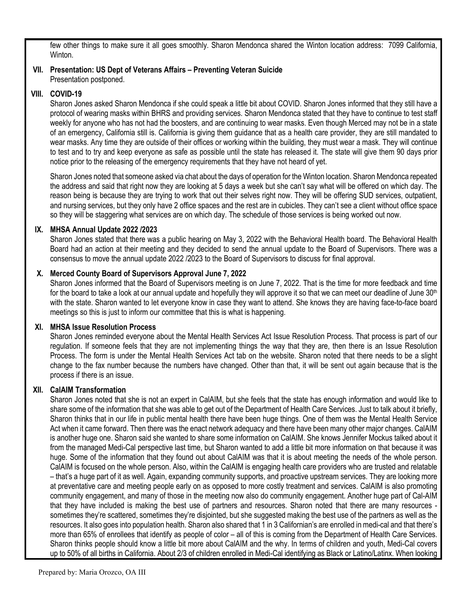few other things to make sure it all goes smoothly. Sharon Mendonca shared the Winton location address: 7099 California, Winton.

#### **VII. Presentation: US Dept of Veterans Affairs – Preventing Veteran Suicide** Presentation postponed.

# **VIII. COVID-19**

Sharon Jones asked Sharon Mendonca if she could speak a little bit about COVID. Sharon Jones informed that they still have a protocol of wearing masks within BHRS and providing services. Sharon Mendonca stated that they have to continue to test staff weekly for anyone who has not had the boosters, and are continuing to wear masks. Even though Merced may not be in a state of an emergency, California still is. California is giving them guidance that as a health care provider, they are still mandated to wear masks. Any time they are outside of their offices or working within the building, they must wear a mask. They will continue to test and to try and keep everyone as safe as possible until the state has released it. The state will give them 90 days prior notice prior to the releasing of the emergency requirements that they have not heard of yet.

Sharon Jones noted that someone asked via chat about the days of operation for the Winton location. Sharon Mendonca repeated the address and said that right now they are looking at 5 days a week but she can't say what will be offered on which day. The reason being is because they are trying to work that out their selves right now. They will be offering SUD services, outpatient, and nursing services, but they only have 2 office spaces and the rest are in cubicles. They can't see a client without office space so they will be staggering what services are on which day. The schedule of those services is being worked out now.

# **IX. MHSA Annual Update 2022 /2023**

Sharon Jones stated that there was a public hearing on May 3, 2022 with the Behavioral Health board. The Behavioral Health Board had an action at their meeting and they decided to send the annual update to the Board of Supervisors. There was a consensus to move the annual update 2022 /2023 to the Board of Supervisors to discuss for final approval.

#### **X. Merced County Board of Supervisors Approval June 7, 2022**

Sharon Jones informed that the Board of Supervisors meeting is on June 7, 2022. That is the time for more feedback and time for the board to take a look at our annual update and hopefully they will approve it so that we can meet our deadline of June  $30<sup>th</sup>$ with the state. Sharon wanted to let everyone know in case they want to attend. She knows they are having face-to-face board meetings so this is just to inform our committee that this is what is happening.

# **XI. MHSA Issue Resolution Process**

Sharon Jones reminded everyone about the Mental Health Services Act Issue Resolution Process. That process is part of our regulation. If someone feels that they are not implementing things the way that they are, then there is an Issue Resolution Process. The form is under the Mental Health Services Act tab on the website. Sharon noted that there needs to be a slight change to the fax number because the numbers have changed. Other than that, it will be sent out again because that is the process if there is an issue.

# **XII. CalAIM Transformation**

Sharon Jones noted that she is not an expert in CalAIM, but she feels that the state has enough information and would like to share some of the information that she was able to get out of the Department of Health Care Services. Just to talk about it briefly, Sharon thinks that in our life in public mental health there have been huge things. One of them was the Mental Health Service Act when it came forward. Then there was the enact network adequacy and there have been many other major changes. CalAIM is another huge one. Sharon said she wanted to share some information on CalAIM. She knows Jennifer Mockus talked about it from the managed Medi-Cal perspective last time, but Sharon wanted to add a little bit more information on that because it was huge. Some of the information that they found out about CalAIM was that it is about meeting the needs of the whole person. CalAIM is focused on the whole person. Also, within the CalAIM is engaging health care providers who are trusted and relatable – that's a huge part of it as well. Again, expanding community supports, and proactive upstream services. They are looking more at preventative care and meeting people early on as opposed to more costly treatment and services. CalAIM is also promoting community engagement, and many of those in the meeting now also do community engagement. Another huge part of Cal-AIM that they have included is making the best use of partners and resources. Sharon noted that there are many resources sometimes they're scattered, sometimes they're disjointed, but she suggested making the best use of the partners as well as the resources. It also goes into population health. Sharon also shared that 1 in 3 Californian's are enrolled in medi-cal and that there's more than 65% of enrollees that identify as people of color – all of this is coming from the Department of Health Care Services. Sharon thinks people should know a little bit more about CalAIM and the why. In terms of children and youth, Medi-Cal covers up to 50% of all births in California. About 2/3 of children enrolled in Medi-Cal identifying as Black or Latino/Latinx. When looking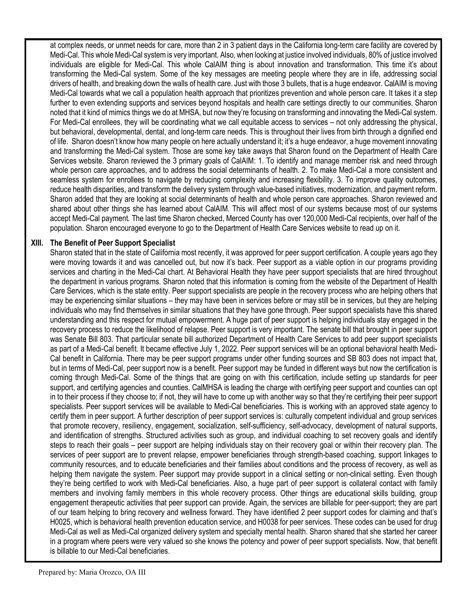at complex needs, or unmet needs for care, more than 2 in 3 patient days in the California long-term care facility are covered by Medi-Cal. This whole Medi-Cal system is very important. Also, when looking at justice involved individuals, 80% of justice involved individuals are eligible for Medi-Cal. This whole CalAIM thing is about innovation and transformation. This time it's about transforming the Medi-Cal system. Some of the key messages are meeting people where they are in life, addressing social drivers of health, and breaking down the walls of health care. Just with those 3 bullets, that is a huge endeavor. CalAIM is moving Medi-Cal towards what we call a population health approach that prioritizes prevention and whole person care. It takes it a step further to even extending supports and services beyond hospitals and health care settings directly to our communities. Sharon noted that it kind of mimics things we do at MHSA, but now they're focusing on transforming and innovating the Medi-Cal system. For Medi-Cal enrollees, they will be coordinating what we call equitable access to services – not only addressing the physical, but behavioral, developmental, dental, and long-term care needs. This is throughout their lives from birth through a dignified end of life. Sharon doesn't know how many people on here actually understand it; it's a huge endeavor, a huge movement innovating and transforming the Medi-Cal system. Those are some key take aways that Sharon found on the Department of Health Care Services website. Sharon reviewed the 3 primary goals of CalAIM: 1. To identify and manage member risk and need through whole person care approaches, and to address the social determinants of health. 2. To make Medi-Cal a more consistent and seamless system for enrollees to navigate by reducing complexity and increasing flexibility. 3. To improve quality outcomes, reduce health disparities, and transform the delivery system through value-based initiatives, modernization, and payment reform. Sharon added that they are looking at social determinants of health and whole person care approaches. Sharon reviewed and shared about other things she has learned about CalAIM. This will affect most of our systems because most of our systems accept Medi-Cal payment. The last time Sharon checked, Merced County has over 120,000 Medi-Cal recipients, over half of the population. Sharon encouraged everyone to go to the Department of Health Care Services website to read up on it.

# **XIII. The Benefit of Peer Support Specialist**

Sharon stated that in the state of California most recently, it was approved for peer support certification. A couple years ago they were moving towards it and was cancelled out, but now it's back. Peer support as a viable option in our programs providing services and charting in the Medi-Cal chart. At Behavioral Health they have peer support specialists that are hired throughout the department in various programs. Sharon noted that this information is coming from the website of the Department of Health Care Services, which is the state entity. Peer support specialists are people in the recovery process who are helping others that may be experiencing similar situations – they may have been in services before or may still be in services, but they are helping individuals who may find themselves in similar situations that they have gone through. Peer support specialists have this shared understanding and this respect for mutual empowerment. A huge part of peer support is helping individuals stay engaged in the recovery process to reduce the likelihood of relapse. Peer support is very important. The senate bill that brought in peer support was Senate Bill 803. That particular senate bill authorized Department of Health Care Services to add peer support specialists as part of a Medi-Cal benefit. It became effective July 1, 2022. Peer support services will be an optional behavioral health Medi-Cal benefit in California. There may be peer support programs under other funding sources and SB 803 does not impact that, but in terms of Medi-Cal, peer support now is a benefit. Peer support may be funded in different ways but now the certification is coming through Medi-Cal. Some of the things that are going on with this certification, include setting up standards for peer support, and certifying agencies and counties. CalMHSA is leading the charge with certifying peer support and counties can opt in to their process if they choose to; if not, they will have to come up with another way so that they're certifying their peer support specialists. Peer support services will be available to Medi-Cal beneficiaries. This is working with an approved state agency to certify them in peer support. A further description of peer support services is: culturally competent individual and group services that promote recovery, resiliency, engagement, socialization, self-sufficiency, self-advocacy, development of natural supports, and identification of strengths. Structured activities such as group, and individual coaching to set recovery goals and identify steps to reach their goals – peer support are helping individuals stay on their recovery goal or within their recovery plan. The services of peer support are to prevent relapse, empower beneficiaries through strength-based coaching, support linkages to community resources, and to educate beneficiaries and their families about conditions and the process of recovery, as well as helping them navigate the system. Peer support may provide support in a clinical setting or non-clinical setting. Even though they're being certified to work with Medi-Cal beneficiaries. Also, a huge part of peer support is collateral contact with family members and involving family members in this whole recovery process. Other things are educational skills building, group engagement therapeutic activities that peer support can provide. Again, the services are billable for peer-support; they are part of our team helping to bring recovery and wellness forward. They have identified 2 peer support codes for claiming and that's H0025, which is behavioral health prevention education service, and H0038 for peer services. These codes can be used for drug Medi-Cal as well as Medi-Cal organized delivery system and specialty mental health. Sharon shared that she started her career in a program where peers were very valued so she knows the potency and power of peer support specialists. Now, that benefit is billable to our Medi-Cal beneficiaries.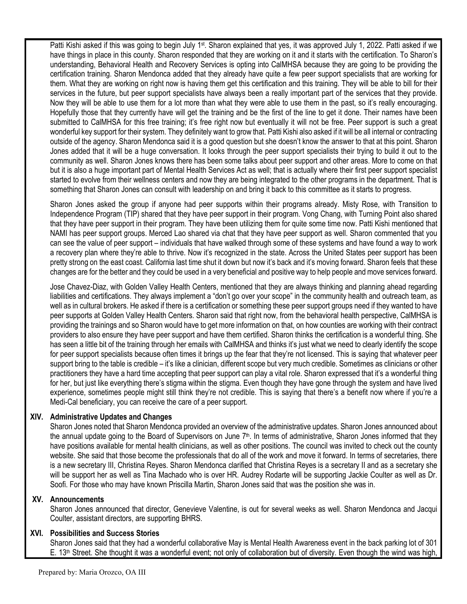Patti Kishi asked if this was going to begin July 1<sup>st</sup>. Sharon explained that yes, it was approved July 1, 2022. Patti asked if we have things in place in this county. Sharon responded that they are working on it and it starts with the certification. To Sharon's understanding, Behavioral Health and Recovery Services is opting into CalMHSA because they are going to be providing the certification training. Sharon Mendonca added that they already have quite a few peer support specialists that are working for them. What they are working on right now is having them get this certification and this training. They will be able to bill for their services in the future, but peer support specialists have always been a really important part of the services that they provide. Now they will be able to use them for a lot more than what they were able to use them in the past, so it's really encouraging. Hopefully those that they currently have will get the training and be the first of the line to get it done. Their names have been submitted to CalMHSA for this free training; it's free right now but eventually it will not be free. Peer support is such a great wonderful key support for their system. They definitely want to grow that. Patti Kishi also asked if it will be all internal or contracting outside of the agency. Sharon Mendonca said it is a good question but she doesn't know the answer to that at this point. Sharon Jones added that it will be a huge conversation. It looks through the peer support specialists their trying to build it out to the community as well. Sharon Jones knows there has been some talks about peer support and other areas. More to come on that but it is also a huge important part of Mental Health Services Act as well; that is actually where their first peer support specialist started to evolve from their wellness centers and now they are being integrated to the other programs in the department. That is something that Sharon Jones can consult with leadership on and bring it back to this committee as it starts to progress.

Sharon Jones asked the group if anyone had peer supports within their programs already. Misty Rose, with Transition to Independence Program (TIP) shared that they have peer support in their program. Vong Chang, with Turning Point also shared that they have peer support in their program. They have been utilizing them for quite some time now. Patti Kishi mentioned that NAMI has peer support groups. Merced Lao shared via chat that they have peer support as well. Sharon commented that you can see the value of peer support – individuals that have walked through some of these systems and have found a way to work a recovery plan where they're able to thrive. Now it's recognized in the state. Across the United States peer support has been pretty strong on the east coast. California last time shut it down but now it's back and it's moving forward. Sharon feels that these changes are for the better and they could be used in a very beneficial and positive way to help people and move services forward.

Jose Chavez-Diaz, with Golden Valley Health Centers, mentioned that they are always thinking and planning ahead regarding liabilities and certifications. They always implement a "don't go over your scope" in the community health and outreach team, as well as in cultural brokers. He asked if there is a certification or something these peer support groups need if they wanted to have peer supports at Golden Valley Health Centers. Sharon said that right now, from the behavioral health perspective, CalMHSA is providing the trainings and so Sharon would have to get more information on that, on how counties are working with their contract providers to also ensure they have peer support and have them certified. Sharon thinks the certification is a wonderful thing. She has seen a little bit of the training through her emails with CalMHSA and thinks it's just what we need to clearly identify the scope for peer support specialists because often times it brings up the fear that they're not licensed. This is saying that whatever peer support bring to the table is credible – it's like a clinician, different scope but very much credible. Sometimes as clinicians or other practitioners they have a hard time accepting that peer support can play a vital role. Sharon expressed that it's a wonderful thing for her, but just like everything there's stigma within the stigma. Even though they have gone through the system and have lived experience, sometimes people might still think they're not credible. This is saying that there's a benefit now where if you're a Medi-Cal beneficiary, you can receive the care of a peer support.

# **XIV. Administrative Updates and Changes**

Sharon Jones noted that Sharon Mendonca provided an overview of the administrative updates. Sharon Jones announced about the annual update going to the Board of Supervisors on June  $7<sup>th</sup>$ . In terms of administrative, Sharon Jones informed that they have positions available for mental health clinicians, as well as other positions. The council was invited to check out the county website. She said that those become the professionals that do all of the work and move it forward. In terms of secretaries, there is a new secretary III, Christina Reyes. Sharon Mendonca clarified that Christina Reyes is a secretary II and as a secretary she will be support her as well as Tina Machado who is over HR. Audrey Rodarte will be supporting Jackie Coulter as well as Dr. Soofi. For those who may have known Priscilla Martin, Sharon Jones said that was the position she was in.

#### **XV. Announcements**

Sharon Jones announced that director, Genevieve Valentine, is out for several weeks as well. Sharon Mendonca and Jacqui Coulter, assistant directors, are supporting BHRS.

#### **XVI. Possibilities and Success Stories**

Sharon Jones said that they had a wonderful collaborative May is Mental Health Awareness event in the back parking lot of 301  $E. 13<sup>th</sup>$  Street. She thought it was a wonderful event; not only of collaboration but of diversity. Even though the wind was high,